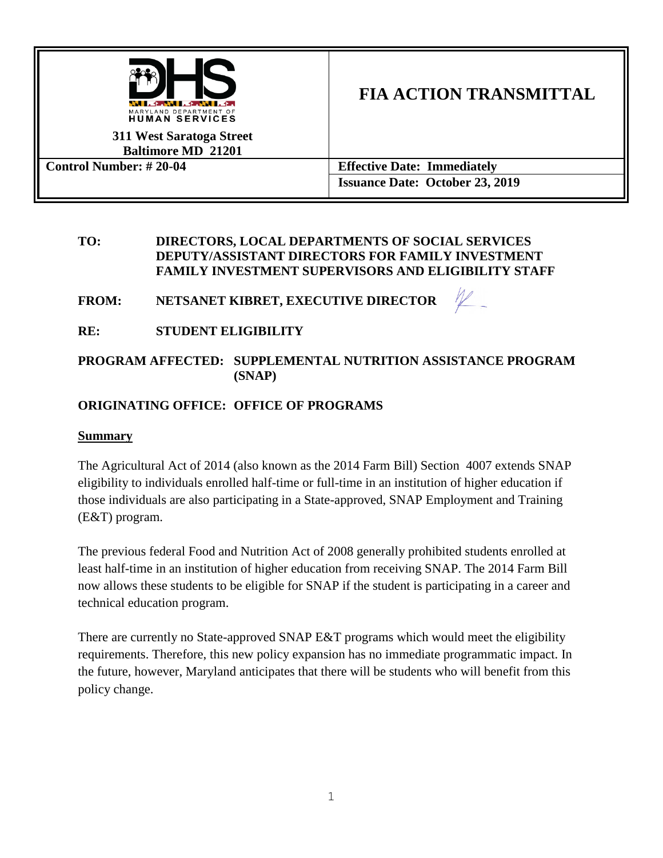

# **FIA ACTION TRANSMITTAL**

**311 West Saratoga Street Baltimore MD 21201**

**Control Number: # 20-04 Effective Date: Immediately Issuance Date: October 23, 2019**

### **TO: DIRECTORS, LOCAL DEPARTMENTS OF SOCIAL SERVICES DEPUTY/ASSISTANT DIRECTORS FOR FAMILY INVESTMENT FAMILY INVESTMENT SUPERVISORS AND ELIGIBILITY STAFF**

**FROM: NETSANET KIBRET, EXECUTIVE DIRECTOR**



# **RE: STUDENT ELIGIBILITY**

# **PROGRAM AFFECTED: SUPPLEMENTAL NUTRITION ASSISTANCE PROGRAM (SNAP)**

# **ORIGINATING OFFICE: OFFICE OF PROGRAMS**

# **Summary**

The Agricultural Act of 2014 (also known as the 2014 Farm Bill) Section 4007 extends SNAP eligibility to individuals enrolled half-time or full-time in an institution of higher education if those individuals are also participating in a State-approved, SNAP Employment and Training (E&T) program.

The previous federal Food and Nutrition Act of 2008 generally prohibited students enrolled at least half-time in an institution of higher education from receiving SNAP. The 2014 Farm Bill now allows these students to be eligible for SNAP if the student is participating in a career and technical education program.

There are currently no State-approved SNAP E&T programs which would meet the eligibility requirements. Therefore, this new policy expansion has no immediate programmatic impact. In the future, however, Maryland anticipates that there will be students who will benefit from this policy change.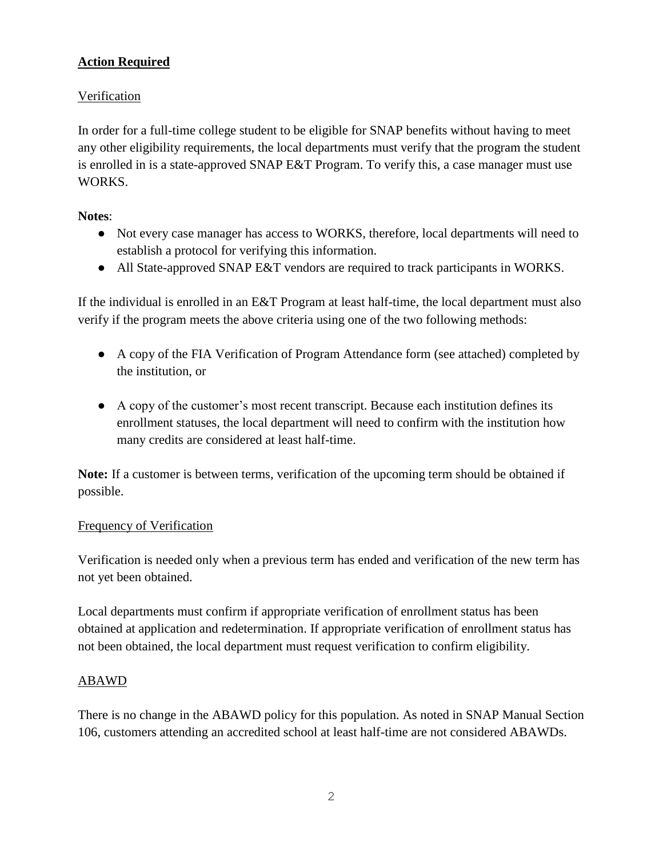# **Action Required**

# Verification

In order for a full-time college student to be eligible for SNAP benefits without having to meet any other eligibility requirements, the local departments must verify that the program the student is enrolled in is a state-approved SNAP E&T Program. To verify this, a case manager must use WORKS.

## **Notes**:

- Not every case manager has access to WORKS, therefore, local departments will need to establish a protocol for verifying this information.
- All State-approved SNAP E&T vendors are required to track participants in WORKS.

If the individual is enrolled in an E&T Program at least half-time, the local department must also verify if the program meets the above criteria using one of the two following methods:

- A copy of the FIA Verification of Program Attendance form (see attached) completed by the institution, or
- A copy of the customer's most recent transcript. Because each institution defines its enrollment statuses, the local department will need to confirm with the institution how many credits are considered at least half-time.

**Note:** If a customer is between terms, verification of the upcoming term should be obtained if possible.

### Frequency of Verification

Verification is needed only when a previous term has ended and verification of the new term has not yet been obtained.

Local departments must confirm if appropriate verification of enrollment status has been obtained at application and redetermination. If appropriate verification of enrollment status has not been obtained, the local department must request verification to confirm eligibility.

# ABAWD

There is no change in the ABAWD policy for this population. As noted in SNAP Manual Section 106, customers attending an accredited school at least half-time are not considered ABAWDs.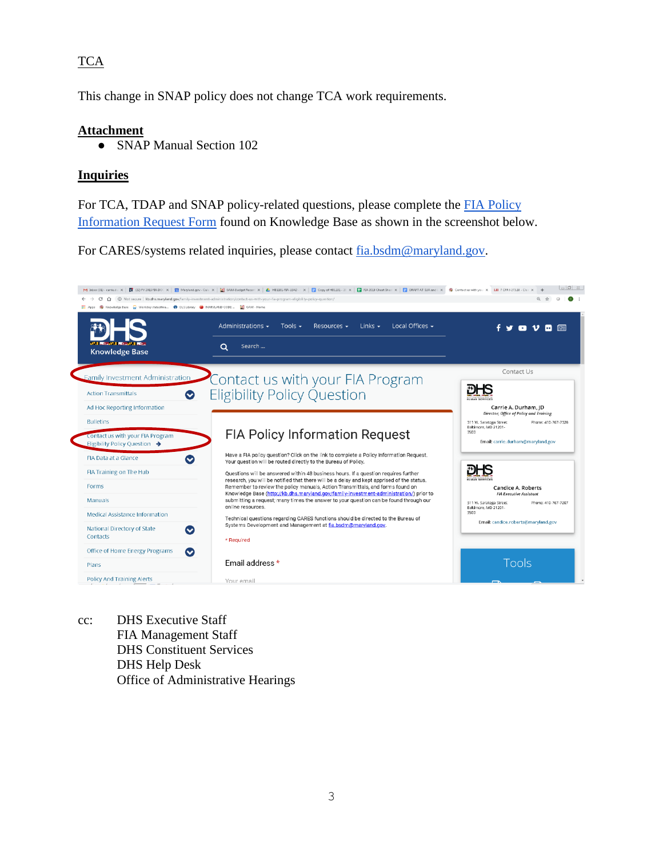# **TCA**

This change in SNAP policy does not change TCA work requirements.

#### **Attachment**

• SNAP Manual Section 102

### **Inquiries**

For TCA, TDAP and SNAP policy-related questions, please complete the [FIA Policy](http://kb.dhs.maryland.gov/family-investment-administration/contact-us-with-your-fia-program-eligibility-policy-question/)  [Information Request Form](http://kb.dhs.maryland.gov/family-investment-administration/contact-us-with-your-fia-program-eligibility-policy-question/) found on Knowledge Base as shown in the screenshot below.

For CARES/systems related inquiries, please contact [fia.bsdm@maryland.gov.](mailto:fia.bsdm@maryland.gov)



cc: DHS Executive Staff FIA Management Staff DHS Constituent Services DHS Help Desk Office of Administrative Hearings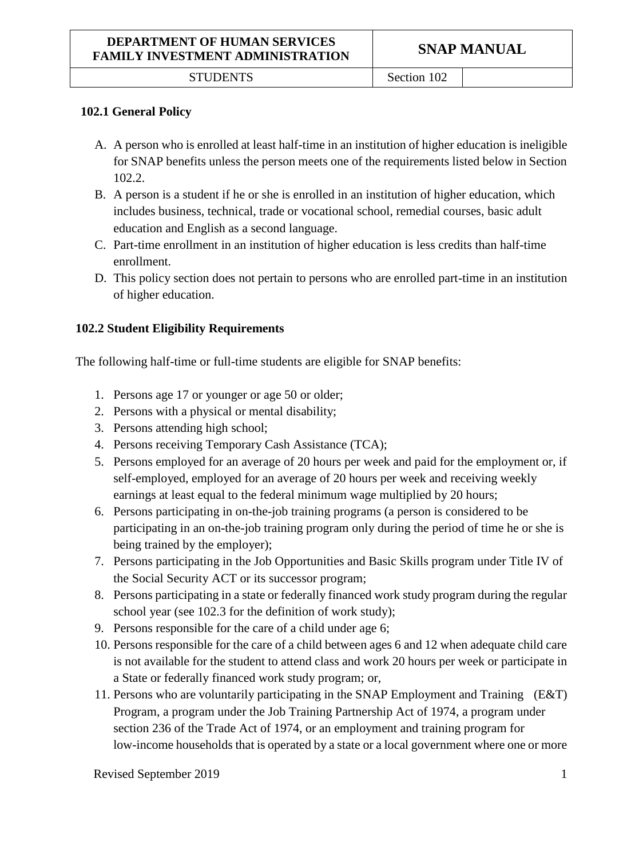STUDENTS Section 102

#### **102.1 General Policy**

- A. A person who is enrolled at least half-time in an institution of higher education is ineligible for SNAP benefits unless the person meets one of the requirements listed below in Section 102.2.
- B. A person is a student if he or she is enrolled in an institution of higher education, which includes business, technical, trade or vocational school, remedial courses, basic adult education and English as a second language.
- C. Part-time enrollment in an institution of higher education is less credits than half-time enrollment.
- D. This policy section does not pertain to persons who are enrolled part-time in an institution of higher education.

#### **102.2 Student Eligibility Requirements**

The following half-time or full-time students are eligible for SNAP benefits:

- 1. Persons age 17 or younger or age 50 or older;
- 2. Persons with a physical or mental disability;
- 3. Persons attending high school;
- 4. Persons receiving Temporary Cash Assistance (TCA);
- 5. Persons employed for an average of 20 hours per week and paid for the employment or, if self-employed, employed for an average of 20 hours per week and receiving weekly earnings at least equal to the federal minimum wage multiplied by 20 hours;
- 6. Persons participating in on-the-job training programs (a person is considered to be participating in an on-the-job training program only during the period of time he or she is being trained by the employer);
- 7. Persons participating in the Job Opportunities and Basic Skills program under Title IV of the Social Security ACT or its successor program;
- 8. Persons participating in a state or federally financed work study program during the regular school year (see 102.3 for the definition of work study);
- 9. Persons responsible for the care of a child under age 6;
- 10. Persons responsible for the care of a child between ages 6 and 12 when adequate child care is not available for the student to attend class and work 20 hours per week or participate in a State or federally financed work study program; or,
- 11. Persons who are voluntarily participating in the SNAP Employment and Training (E&T) Program, a program under the Job Training Partnership Act of 1974, a program under section 236 of the Trade Act of 1974, or an employment and training program for low-income households that is operated by a state or a local government where one or more

Revised September 2019 1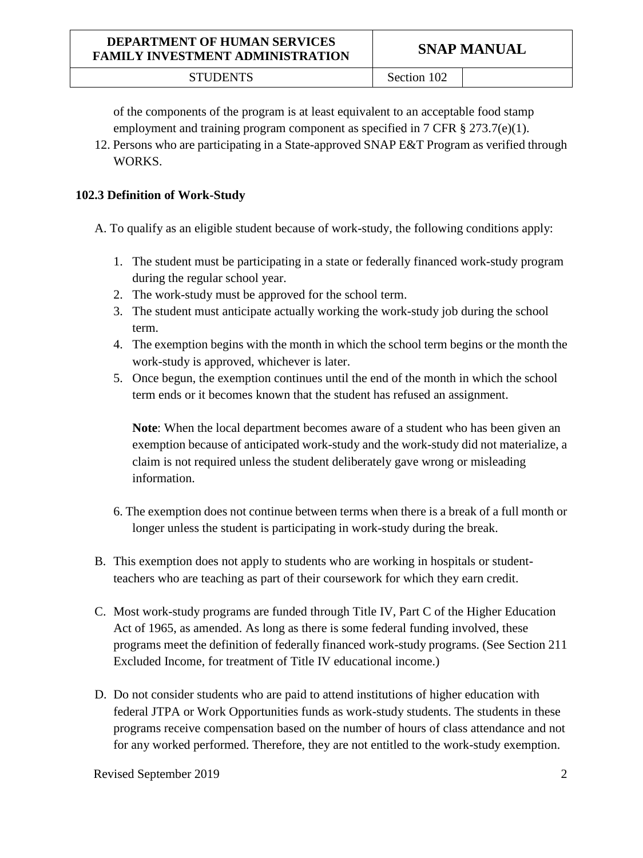of the components of the program is at least equivalent to an acceptable food stamp employment and training program component as specified in 7 CFR  $\S 273.7(e)(1)$ .

12. Persons who are participating in a State-approved SNAP E&T Program as verified through WORKS.

#### **102.3 Definition of Work-Study**

A. To qualify as an eligible student because of work-study, the following conditions apply:

- 1. The student must be participating in a state or federally financed work-study program during the regular school year.
- 2. The work-study must be approved for the school term.
- 3. The student must anticipate actually working the work-study job during the school term.
- 4. The exemption begins with the month in which the school term begins or the month the work-study is approved, whichever is later.
- 5. Once begun, the exemption continues until the end of the month in which the school term ends or it becomes known that the student has refused an assignment.

**Note**: When the local department becomes aware of a student who has been given an exemption because of anticipated work-study and the work-study did not materialize, a claim is not required unless the student deliberately gave wrong or misleading information.

- 6. The exemption does not continue between terms when there is a break of a full month or longer unless the student is participating in work-study during the break.
- B. This exemption does not apply to students who are working in hospitals or studentteachers who are teaching as part of their coursework for which they earn credit.
- C. Most work-study programs are funded through Title IV, Part C of the Higher Education Act of 1965, as amended. As long as there is some federal funding involved, these programs meet the definition of federally financed work-study programs. (See Section 211 Excluded Income, for treatment of Title IV educational income.)
- D. Do not consider students who are paid to attend institutions of higher education with federal JTPA or Work Opportunities funds as work-study students. The students in these programs receive compensation based on the number of hours of class attendance and not for any worked performed. Therefore, they are not entitled to the work-study exemption.